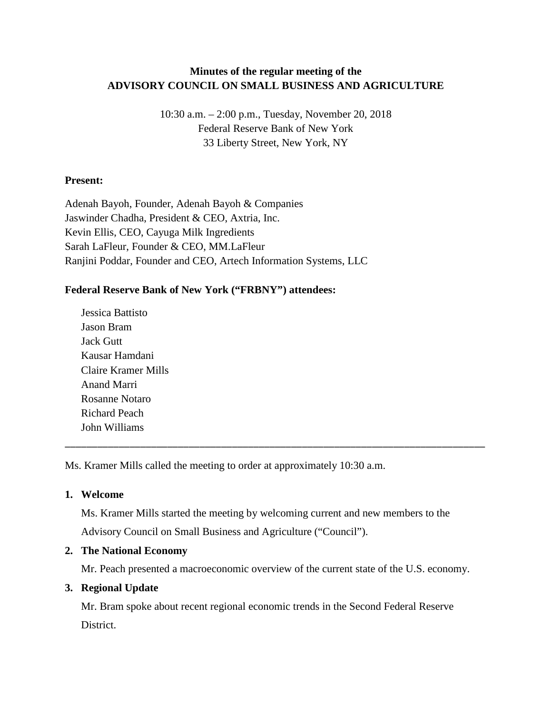# **Minutes of the regular meeting of the ADVISORY COUNCIL ON SMALL BUSINESS AND AGRICULTURE**

10:30 a.m. – 2:00 p.m., Tuesday, November 20, 2018 Federal Reserve Bank of New York 33 Liberty Street, New York, NY

## **Present:**

Adenah Bayoh, Founder, Adenah Bayoh & Companies Jaswinder Chadha, President & CEO, Axtria, Inc. Kevin Ellis, CEO, Cayuga Milk Ingredients Sarah LaFleur, Founder & CEO, MM.LaFleur Ranjini Poddar, Founder and CEO, Artech Information Systems, LLC

## **Federal Reserve Bank of New York ("FRBNY") attendees:**

Jessica Battisto Jason Bram Jack Gutt Kausar Hamdani Claire Kramer Mills Anand Marri Rosanne Notaro Richard Peach John Williams

Ms. Kramer Mills called the meeting to order at approximately 10:30 a.m.

#### **1. Welcome**

Ms. Kramer Mills started the meeting by welcoming current and new members to the Advisory Council on Small Business and Agriculture ("Council").

\_\_\_\_\_\_\_\_\_\_\_\_\_\_\_\_\_\_\_\_\_\_\_\_\_\_\_\_\_\_\_\_\_\_\_\_\_\_\_\_\_\_\_\_\_\_\_\_\_\_\_\_\_\_\_\_\_\_\_\_\_\_\_\_\_\_\_\_\_\_\_\_\_\_\_\_\_\_

#### **2. The National Economy**

Mr. Peach presented a macroeconomic overview of the current state of the U.S. economy.

#### **3. Regional Update**

Mr. Bram spoke about recent regional economic trends in the Second Federal Reserve District.